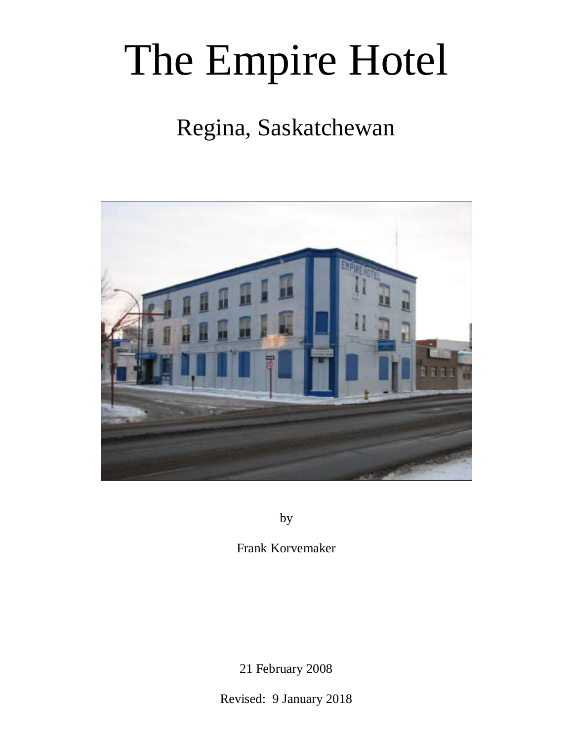# The Empire Hotel

# Regina, Saskatchewan



by

Frank Korvemaker

21 February 2008

Revised: 9 January 2018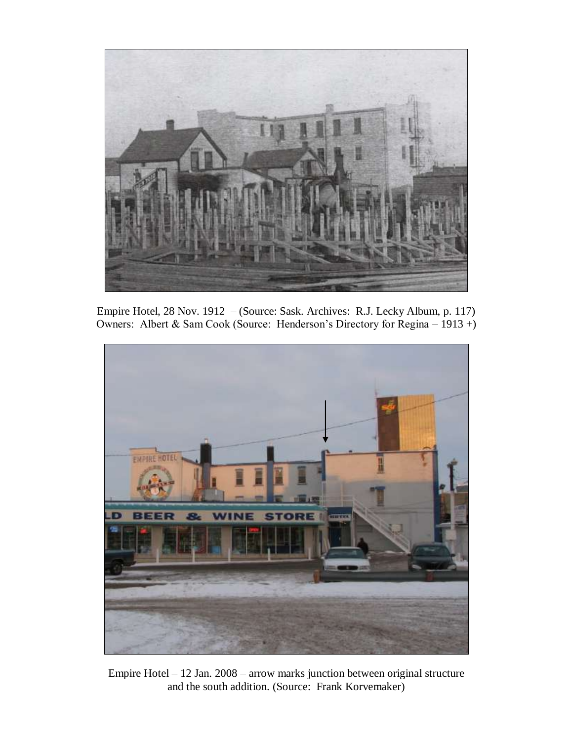

Empire Hotel, 28 Nov. 1912 – (Source: Sask. Archives: R.J. Lecky Album, p. 117) Owners: Albert & Sam Cook (Source: Henderson's Directory for Regina – 1913 +)



Empire Hotel – 12 Jan. 2008 – arrow marks junction between original structure and the south addition. (Source: Frank Korvemaker)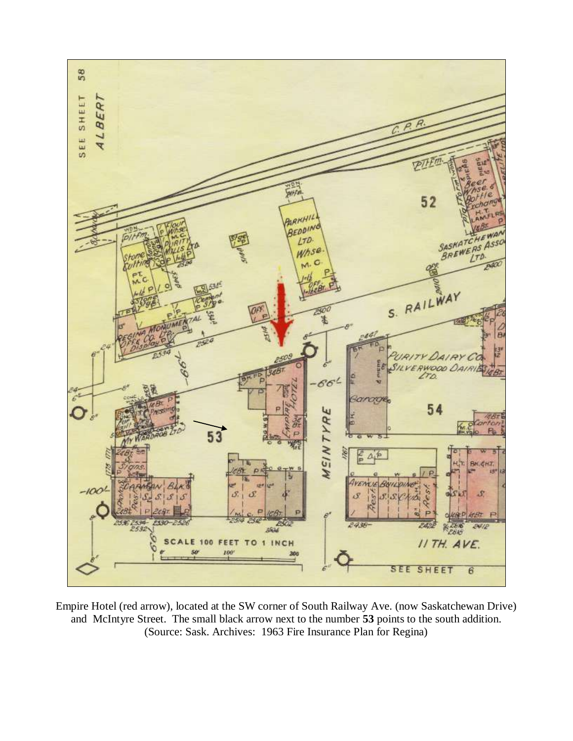

Empire Hotel (red arrow), located at the SW corner of South Railway Ave. (now Saskatchewan Drive) and McIntyre Street. The small black arrow next to the number **53** points to the south addition. (Source: Sask. Archives: 1963 Fire Insurance Plan for Regina)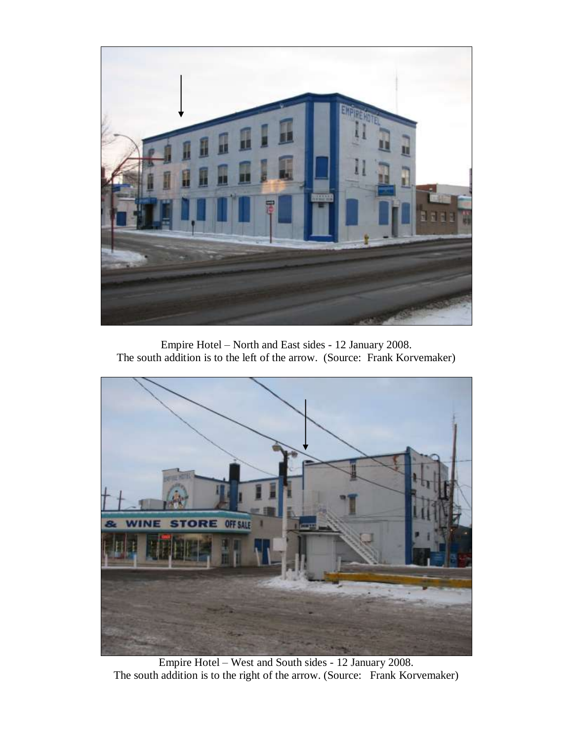

Empire Hotel – North and East sides - 12 January 2008. The south addition is to the left of the arrow. (Source: Frank Korvemaker)



Empire Hotel – West and South sides - 12 January 2008. The south addition is to the right of the arrow. (Source: Frank Korvemaker)